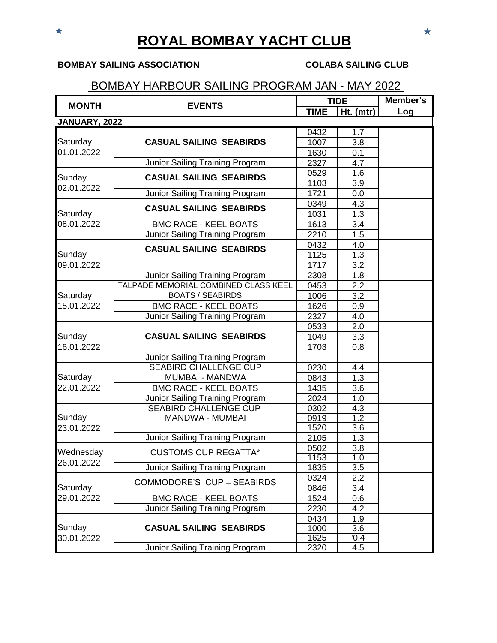# **ROYAL BOMBAY YACHT CLUB**

### **BOMBAY SAILING ASSOCIATION COLABA SAILING CLUB**

## BOMBAY HARBOUR SAILING PROGRAM JAN - MAY 2022

| <b>MONTH</b>           | <b>EVENTS</b>                          | <b>TIDE</b> |                  | <b>Member's</b> |
|------------------------|----------------------------------------|-------------|------------------|-----------------|
|                        |                                        | <b>TIME</b> | $Ht.$ (mtr)      | Log             |
| JANUARY, 2022          |                                        |             |                  |                 |
| Saturday<br>01.01.2022 |                                        | 0432        | 1.7              |                 |
|                        | <b>CASUAL SAILING SEABIRDS</b>         | 1007        | 3.8              |                 |
|                        |                                        | 1630        | 0.1              |                 |
|                        | Junior Sailing Training Program        | 2327        | 4.7              |                 |
| Sunday                 | <b>CASUAL SAILING SEABIRDS</b>         | 0529        | 1.6              |                 |
| 02.01.2022             |                                        | 1103        | $\overline{3.9}$ |                 |
|                        | Junior Sailing Training Program        | 1721        | 0.0              |                 |
|                        | <b>CASUAL SAILING SEABIRDS</b>         | 0349        | 4.3              |                 |
| Saturday               |                                        | 1031        | 1.3              |                 |
| 08.01.2022             | <b>BMC RACE - KEEL BOATS</b>           | 1613        | 3.4              |                 |
|                        | <b>Junior Sailing Training Program</b> | 2210        | 1.5              |                 |
|                        | <b>CASUAL SAILING SEABIRDS</b>         | 0432        | 4.0              |                 |
| Sunday                 |                                        | 1125        | 1.3              |                 |
| 09.01.2022             |                                        | 1717        | $\overline{3.2}$ |                 |
|                        | Junior Sailing Training Program        | 2308        | 1.8              |                 |
|                        | TALPADE MEMORIAL COMBINED CLASS KEEL   | 0453        | 2.2              |                 |
| Saturday               | <b>BOATS / SEABIRDS</b>                | 1006        | 3.2              |                 |
| 15.01.2022             | <b>BMC RACE - KEEL BOATS</b>           | 1626        | 0.9              |                 |
|                        | Junior Sailing Training Program        | 2327        | 4.0              |                 |
|                        |                                        | 0533        | 2.0              |                 |
| Sunday                 | <b>CASUAL SAILING SEABIRDS</b>         | 1049        | $\overline{3.3}$ |                 |
| 16.01.2022             |                                        | 1703        | 0.8              |                 |
|                        | <b>Junior Sailing Training Program</b> |             |                  |                 |
|                        | <b>SEABIRD CHALLENGE CUP</b>           | 0230        | 4.4              |                 |
| Saturday               | <b>MUMBAI - MANDWA</b>                 | 0843        | 1.3              |                 |
| 22.01.2022             | <b>BMC RACE - KEEL BOATS</b>           | 1435        | $\overline{3.6}$ |                 |
|                        | Junior Sailing Training Program        | 2024        | 1.0              |                 |
|                        | <b>SEABIRD CHALLENGE CUP</b>           | 0302        | 4.3              |                 |
| Sunday                 | <b>MANDWA - MUMBAI</b>                 | 0919        | $\overline{1.2}$ |                 |
| 23.01.2022             |                                        | 1520        | 3.6              |                 |
|                        | Junior Sailing Training Program        | 2105        | 1.3              |                 |
| Wednesday              | <b>CUSTOMS CUP REGATTA*</b>            | 0502        | 3.8              |                 |
| 26.01.2022             |                                        | 1153        | $\overline{1.0}$ |                 |
|                        | Junior Sailing Training Program        | 1835        | 3.5              |                 |
| Saturday<br>29.01.2022 | COMMODORE'S CUP - SEABIRDS             | 0324        | 2.2              |                 |
|                        |                                        | 0846        | 3.4              |                 |
|                        | <b>BMC RACE - KEEL BOATS</b>           | 1524        | 0.6              |                 |
|                        | Junior Sailing Training Program        | 2230        | 4.2              |                 |
| Sunday<br>30.01.2022   | <b>CASUAL SAILING SEABIRDS</b>         | 0434        | 1.9              |                 |
|                        |                                        | 1000        | $\overline{3.6}$ |                 |
|                        |                                        | 1625        | $\sqrt{0.4}$     |                 |
|                        | Junior Sailing Training Program        | 2320        | 4.5              |                 |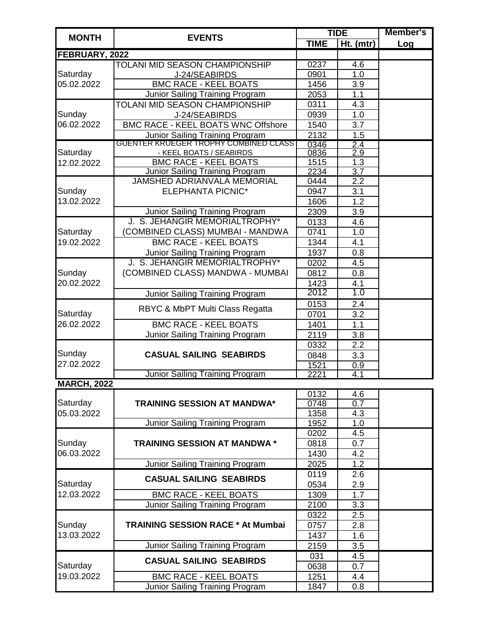|                        | <b>EVENTS</b>                             | <b>TIDE</b> |                  | <b>Member's</b> |
|------------------------|-------------------------------------------|-------------|------------------|-----------------|
| <b>MONTH</b>           |                                           | <b>TIME</b> | Ht. (mtr)        | Log             |
| FEBRUARY, 2022         |                                           |             |                  |                 |
|                        | TOLANI MID SEASON CHAMPIONSHIP            | 0237        | 4.6              |                 |
| Saturday<br>05.02.2022 | J-24/SEABIRDS                             | 0901        | 1.0              |                 |
|                        | <b>BMC RACE - KEEL BOATS</b>              | 1456        | $\overline{3.9}$ |                 |
|                        | Junior Sailing Training Program           | 2053        | 1.1              |                 |
|                        | TOLANI MID SEASON CHAMPIONSHIP            | 0311        | 4.3              |                 |
| Sunday                 | J-24/SEABIRDS                             | 0939        | 1.0              |                 |
| 06.02.2022             | <b>BMC RACE - KEEL BOATS WNC Offshore</b> | 1540        | 3.7              |                 |
|                        | <b>Junior Sailing Training Program</b>    | 2132        | 1.5              |                 |
|                        | GUENTER KRUEGER TROPHY COMBINED CLASS     | 0346        | 2.4              |                 |
| Saturday               | - KEEL BOATS / SEABIRDS                   | 0836        | 2.9              |                 |
| 12.02.2022             | <b>BMC RACE - KEEL BOATS</b>              | 1515        | 1.3              |                 |
|                        | Junior Sailing Training Program           | 2234        | $\overline{3.7}$ |                 |
|                        | JAMSHED ADRIANVALA MEMORIAL               | 0444        | $\overline{2.2}$ |                 |
| Sunday                 | <b>ELEPHANTA PICNIC*</b>                  | 0947        | 3.1              |                 |
| 13.02.2022             |                                           | 1606        | $\overline{1.2}$ |                 |
|                        | Junior Sailing Training Program           | 2309        | 3.9              |                 |
|                        | J. S. JEHANGIR MEMORIALTROPHY*            | 0133        | 4.6              |                 |
| Saturday               | (COMBINED CLASS) MUMBAI - MANDWA          | 0741        | 1.0              |                 |
| 19.02.2022             | <b>BMC RACE - KEEL BOATS</b>              | 1344        | 4.1              |                 |
|                        | Junior Sailing Training Program           | 1937        | 0.8              |                 |
|                        | J. S. JEHANGIR MEMORIALTROPHY*            | 0202        | 4.5              |                 |
| Sunday                 | (COMBINED CLASS) MANDWA - MUMBAI          | 0812        | 0.8              |                 |
| 20.02.2022             |                                           | 1423        | 4.1              |                 |
|                        | Junior Sailing Training Program           | 2012        | 1.0              |                 |
|                        | RBYC & MbPT Multi Class Regatta           | 0153        | 2.4              |                 |
| Saturday               |                                           | 0701        | 3.2              |                 |
| 26.02.2022             | <b>BMC RACE - KEEL BOATS</b>              | 1401        | 1.1              |                 |
|                        | Junior Sailing Training Program           | 2119        | 3.8              |                 |
|                        |                                           | 0332        | 2.2              |                 |
| Sunday                 | <b>CASUAL SAILING SEABIRDS</b>            | 0848        | 3.3              |                 |
| 27.02.2022             |                                           | 1521        | $\overline{0.9}$ |                 |
|                        | Junior Sailing Training Program           | 2221        | 4.1              |                 |
| <b>MARCH, 2022</b>     |                                           |             |                  |                 |
|                        |                                           | 0132        | 4.6              |                 |
| Saturday               | <b>TRAINING SESSION AT MANDWA*</b>        | 0748        | $\overline{0.7}$ |                 |
| 05.03.2022             |                                           | 1358        | 4.3              |                 |
|                        | <b>Junior Sailing Training Program</b>    | 1952        | 1.0              |                 |
|                        |                                           | 0202        | 4.5              |                 |
| Sunday                 | <b>TRAINING SESSION AT MANDWA *</b>       | 0818        | 0.7              |                 |
| 06.03.2022             |                                           | 1430        | 4.2              |                 |
|                        | Junior Sailing Training Program           | 2025        | 1.2              |                 |
|                        | <b>CASUAL SAILING SEABIRDS</b>            | 0119        | 2.6              |                 |
| Saturday               |                                           | 0534        | 2.9              |                 |
| 12.03.2022             | <b>BMC RACE - KEEL BOATS</b>              | 1309        | 1.7              |                 |
|                        | <b>Junior Sailing Training Program</b>    | 2100        | 3.3              |                 |
| Sunday<br>13.03.2022   |                                           | 0322        | 2.5              |                 |
|                        | <b>TRAINING SESSION RACE * At Mumbai</b>  | 0757        | 2.8              |                 |
|                        |                                           | 1437        | 1.6              |                 |
|                        | Junior Sailing Training Program           | 2159        | 3.5              |                 |
| Saturday<br>19.03.2022 | <b>CASUAL SAILING SEABIRDS</b>            | 031         | $\overline{4.5}$ |                 |
|                        |                                           | 0638        | 0.7              |                 |
|                        | <b>BMC RACE - KEEL BOATS</b>              | 1251        | 4.4              |                 |
|                        | Junior Sailing Training Program           | 1847        | 0.8              |                 |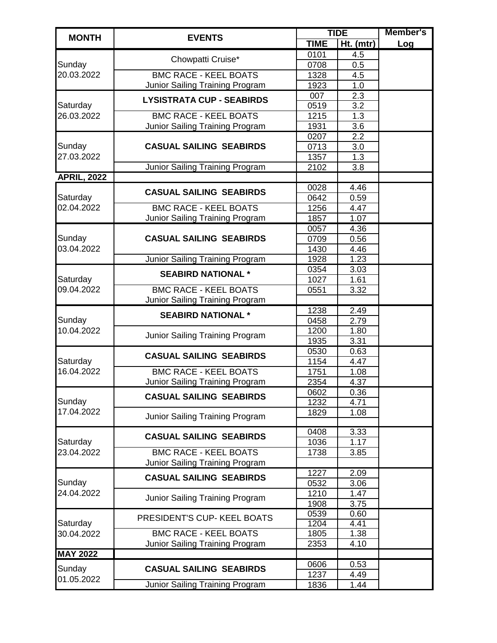| <b>TIME</b><br>Ht. (mtr)<br>Log<br>0101<br>4.5<br>Chowpatti Cruise*<br>Sunday<br>0708<br>0.5<br>20.03.2022<br><b>BMC RACE - KEEL BOATS</b><br>1328<br>4.5<br>1.0<br>Junior Sailing Training Program<br>1923<br>2.3<br>007<br><b>LYSISTRATA CUP - SEABIRDS</b><br>3.2<br>Saturday<br>0519<br>26.03.2022<br><b>BMC RACE - KEEL BOATS</b><br>1215<br>1.3<br>3.6<br>Junior Sailing Training Program<br>1931<br>2.2<br>0207<br>Sunday<br><b>CASUAL SAILING SEABIRDS</b><br>3.0<br>0713<br>$\overline{1.3}$<br>27.03.2022<br>1357<br>Junior Sailing Training Program<br>3.8<br>2102<br><b>APRIL, 2022</b><br>0028<br>4.46<br><b>CASUAL SAILING SEABIRDS</b><br>Saturday<br>0642<br>0.59<br>02.04.2022<br><b>BMC RACE - KEEL BOATS</b><br>1256<br>4.47<br>Junior Sailing Training Program<br>1.07<br>1857<br>0057<br>4.36<br>Sunday<br><b>CASUAL SAILING SEABIRDS</b><br>0.56<br>0709<br>03.04.2022<br>1430<br>4.46<br>1.23<br><b>Junior Sailing Training Program</b><br>1928<br>3.03<br>0354<br><b>SEABIRD NATIONAL *</b><br>Saturday<br>1027<br>1.61<br>09.04.2022<br><b>BMC RACE - KEEL BOATS</b><br>3.32<br>0551<br>Junior Sailing Training Program<br>1238<br>2.49<br><b>SEABIRD NATIONAL *</b><br>Sunday<br>2.79<br>0458<br>10.04.2022<br>1200<br>1.80<br>Junior Sailing Training Program<br>3.31<br>1935<br>0530<br>0.63<br><b>CASUAL SAILING SEABIRDS</b><br>Saturday<br>1154<br>4.47<br>16.04.2022<br><b>BMC RACE - KEEL BOATS</b><br>1751<br>1.08<br>Junior Sailing Training Program<br>2354<br>4.37<br>0602<br>0.36<br><b>CASUAL SAILING SEABIRDS</b><br>Sunday<br>1232<br>4.71<br>17.04.2022<br>1.08<br>1829<br>Junior Sailing Training Program<br>0408<br>3.33<br><b>CASUAL SAILING SEABIRDS</b><br>Saturday<br>1036<br>1.17<br>23.04.2022<br><b>BMC RACE - KEEL BOATS</b><br>1738<br>3.85<br>Junior Sailing Training Program<br>1227<br>2.09<br><b>CASUAL SAILING SEABIRDS</b><br>Sunday<br>3.06<br>0532<br>24.04.2022<br>1210<br>1.47<br>Junior Sailing Training Program<br>1908<br>3.75<br>0539<br>0.60<br>PRESIDENT'S CUP- KEEL BOATS<br>Saturday<br>1204<br>4.41<br><b>BMC RACE - KEEL BOATS</b><br>30.04.2022<br>1.38<br>1805<br>Junior Sailing Training Program<br>2353<br>4.10<br><b>MAY 2022</b><br>0606<br>0.53<br>Sunday<br><b>CASUAL SAILING SEABIRDS</b><br>1237<br>4.49<br>01.05.2022<br>Junior Sailing Training Program<br>1.44<br>1836 |              | <b>EVENTS</b> | <b>TIDE</b> |  |
|--------------------------------------------------------------------------------------------------------------------------------------------------------------------------------------------------------------------------------------------------------------------------------------------------------------------------------------------------------------------------------------------------------------------------------------------------------------------------------------------------------------------------------------------------------------------------------------------------------------------------------------------------------------------------------------------------------------------------------------------------------------------------------------------------------------------------------------------------------------------------------------------------------------------------------------------------------------------------------------------------------------------------------------------------------------------------------------------------------------------------------------------------------------------------------------------------------------------------------------------------------------------------------------------------------------------------------------------------------------------------------------------------------------------------------------------------------------------------------------------------------------------------------------------------------------------------------------------------------------------------------------------------------------------------------------------------------------------------------------------------------------------------------------------------------------------------------------------------------------------------------------------------------------------------------------------------------------------------------------------------------------------------------------------------------------------------------------------------------------------------------------------------------------------------------------------------------------------------------------------------------------------------------------------------------------------------------------------------------------|--------------|---------------|-------------|--|
|                                                                                                                                                                                                                                                                                                                                                                                                                                                                                                                                                                                                                                                                                                                                                                                                                                                                                                                                                                                                                                                                                                                                                                                                                                                                                                                                                                                                                                                                                                                                                                                                                                                                                                                                                                                                                                                                                                                                                                                                                                                                                                                                                                                                                                                                                                                                                              | <b>MONTH</b> |               |             |  |
|                                                                                                                                                                                                                                                                                                                                                                                                                                                                                                                                                                                                                                                                                                                                                                                                                                                                                                                                                                                                                                                                                                                                                                                                                                                                                                                                                                                                                                                                                                                                                                                                                                                                                                                                                                                                                                                                                                                                                                                                                                                                                                                                                                                                                                                                                                                                                              |              |               |             |  |
|                                                                                                                                                                                                                                                                                                                                                                                                                                                                                                                                                                                                                                                                                                                                                                                                                                                                                                                                                                                                                                                                                                                                                                                                                                                                                                                                                                                                                                                                                                                                                                                                                                                                                                                                                                                                                                                                                                                                                                                                                                                                                                                                                                                                                                                                                                                                                              |              |               |             |  |
|                                                                                                                                                                                                                                                                                                                                                                                                                                                                                                                                                                                                                                                                                                                                                                                                                                                                                                                                                                                                                                                                                                                                                                                                                                                                                                                                                                                                                                                                                                                                                                                                                                                                                                                                                                                                                                                                                                                                                                                                                                                                                                                                                                                                                                                                                                                                                              |              |               |             |  |
|                                                                                                                                                                                                                                                                                                                                                                                                                                                                                                                                                                                                                                                                                                                                                                                                                                                                                                                                                                                                                                                                                                                                                                                                                                                                                                                                                                                                                                                                                                                                                                                                                                                                                                                                                                                                                                                                                                                                                                                                                                                                                                                                                                                                                                                                                                                                                              |              |               |             |  |
|                                                                                                                                                                                                                                                                                                                                                                                                                                                                                                                                                                                                                                                                                                                                                                                                                                                                                                                                                                                                                                                                                                                                                                                                                                                                                                                                                                                                                                                                                                                                                                                                                                                                                                                                                                                                                                                                                                                                                                                                                                                                                                                                                                                                                                                                                                                                                              |              |               |             |  |
|                                                                                                                                                                                                                                                                                                                                                                                                                                                                                                                                                                                                                                                                                                                                                                                                                                                                                                                                                                                                                                                                                                                                                                                                                                                                                                                                                                                                                                                                                                                                                                                                                                                                                                                                                                                                                                                                                                                                                                                                                                                                                                                                                                                                                                                                                                                                                              |              |               |             |  |
|                                                                                                                                                                                                                                                                                                                                                                                                                                                                                                                                                                                                                                                                                                                                                                                                                                                                                                                                                                                                                                                                                                                                                                                                                                                                                                                                                                                                                                                                                                                                                                                                                                                                                                                                                                                                                                                                                                                                                                                                                                                                                                                                                                                                                                                                                                                                                              |              |               |             |  |
|                                                                                                                                                                                                                                                                                                                                                                                                                                                                                                                                                                                                                                                                                                                                                                                                                                                                                                                                                                                                                                                                                                                                                                                                                                                                                                                                                                                                                                                                                                                                                                                                                                                                                                                                                                                                                                                                                                                                                                                                                                                                                                                                                                                                                                                                                                                                                              |              |               |             |  |
|                                                                                                                                                                                                                                                                                                                                                                                                                                                                                                                                                                                                                                                                                                                                                                                                                                                                                                                                                                                                                                                                                                                                                                                                                                                                                                                                                                                                                                                                                                                                                                                                                                                                                                                                                                                                                                                                                                                                                                                                                                                                                                                                                                                                                                                                                                                                                              |              |               |             |  |
|                                                                                                                                                                                                                                                                                                                                                                                                                                                                                                                                                                                                                                                                                                                                                                                                                                                                                                                                                                                                                                                                                                                                                                                                                                                                                                                                                                                                                                                                                                                                                                                                                                                                                                                                                                                                                                                                                                                                                                                                                                                                                                                                                                                                                                                                                                                                                              |              |               |             |  |
|                                                                                                                                                                                                                                                                                                                                                                                                                                                                                                                                                                                                                                                                                                                                                                                                                                                                                                                                                                                                                                                                                                                                                                                                                                                                                                                                                                                                                                                                                                                                                                                                                                                                                                                                                                                                                                                                                                                                                                                                                                                                                                                                                                                                                                                                                                                                                              |              |               |             |  |
|                                                                                                                                                                                                                                                                                                                                                                                                                                                                                                                                                                                                                                                                                                                                                                                                                                                                                                                                                                                                                                                                                                                                                                                                                                                                                                                                                                                                                                                                                                                                                                                                                                                                                                                                                                                                                                                                                                                                                                                                                                                                                                                                                                                                                                                                                                                                                              |              |               |             |  |
|                                                                                                                                                                                                                                                                                                                                                                                                                                                                                                                                                                                                                                                                                                                                                                                                                                                                                                                                                                                                                                                                                                                                                                                                                                                                                                                                                                                                                                                                                                                                                                                                                                                                                                                                                                                                                                                                                                                                                                                                                                                                                                                                                                                                                                                                                                                                                              |              |               |             |  |
|                                                                                                                                                                                                                                                                                                                                                                                                                                                                                                                                                                                                                                                                                                                                                                                                                                                                                                                                                                                                                                                                                                                                                                                                                                                                                                                                                                                                                                                                                                                                                                                                                                                                                                                                                                                                                                                                                                                                                                                                                                                                                                                                                                                                                                                                                                                                                              |              |               |             |  |
|                                                                                                                                                                                                                                                                                                                                                                                                                                                                                                                                                                                                                                                                                                                                                                                                                                                                                                                                                                                                                                                                                                                                                                                                                                                                                                                                                                                                                                                                                                                                                                                                                                                                                                                                                                                                                                                                                                                                                                                                                                                                                                                                                                                                                                                                                                                                                              |              |               |             |  |
|                                                                                                                                                                                                                                                                                                                                                                                                                                                                                                                                                                                                                                                                                                                                                                                                                                                                                                                                                                                                                                                                                                                                                                                                                                                                                                                                                                                                                                                                                                                                                                                                                                                                                                                                                                                                                                                                                                                                                                                                                                                                                                                                                                                                                                                                                                                                                              |              |               |             |  |
|                                                                                                                                                                                                                                                                                                                                                                                                                                                                                                                                                                                                                                                                                                                                                                                                                                                                                                                                                                                                                                                                                                                                                                                                                                                                                                                                                                                                                                                                                                                                                                                                                                                                                                                                                                                                                                                                                                                                                                                                                                                                                                                                                                                                                                                                                                                                                              |              |               |             |  |
|                                                                                                                                                                                                                                                                                                                                                                                                                                                                                                                                                                                                                                                                                                                                                                                                                                                                                                                                                                                                                                                                                                                                                                                                                                                                                                                                                                                                                                                                                                                                                                                                                                                                                                                                                                                                                                                                                                                                                                                                                                                                                                                                                                                                                                                                                                                                                              |              |               |             |  |
|                                                                                                                                                                                                                                                                                                                                                                                                                                                                                                                                                                                                                                                                                                                                                                                                                                                                                                                                                                                                                                                                                                                                                                                                                                                                                                                                                                                                                                                                                                                                                                                                                                                                                                                                                                                                                                                                                                                                                                                                                                                                                                                                                                                                                                                                                                                                                              |              |               |             |  |
|                                                                                                                                                                                                                                                                                                                                                                                                                                                                                                                                                                                                                                                                                                                                                                                                                                                                                                                                                                                                                                                                                                                                                                                                                                                                                                                                                                                                                                                                                                                                                                                                                                                                                                                                                                                                                                                                                                                                                                                                                                                                                                                                                                                                                                                                                                                                                              |              |               |             |  |
|                                                                                                                                                                                                                                                                                                                                                                                                                                                                                                                                                                                                                                                                                                                                                                                                                                                                                                                                                                                                                                                                                                                                                                                                                                                                                                                                                                                                                                                                                                                                                                                                                                                                                                                                                                                                                                                                                                                                                                                                                                                                                                                                                                                                                                                                                                                                                              |              |               |             |  |
|                                                                                                                                                                                                                                                                                                                                                                                                                                                                                                                                                                                                                                                                                                                                                                                                                                                                                                                                                                                                                                                                                                                                                                                                                                                                                                                                                                                                                                                                                                                                                                                                                                                                                                                                                                                                                                                                                                                                                                                                                                                                                                                                                                                                                                                                                                                                                              |              |               |             |  |
|                                                                                                                                                                                                                                                                                                                                                                                                                                                                                                                                                                                                                                                                                                                                                                                                                                                                                                                                                                                                                                                                                                                                                                                                                                                                                                                                                                                                                                                                                                                                                                                                                                                                                                                                                                                                                                                                                                                                                                                                                                                                                                                                                                                                                                                                                                                                                              |              |               |             |  |
|                                                                                                                                                                                                                                                                                                                                                                                                                                                                                                                                                                                                                                                                                                                                                                                                                                                                                                                                                                                                                                                                                                                                                                                                                                                                                                                                                                                                                                                                                                                                                                                                                                                                                                                                                                                                                                                                                                                                                                                                                                                                                                                                                                                                                                                                                                                                                              |              |               |             |  |
|                                                                                                                                                                                                                                                                                                                                                                                                                                                                                                                                                                                                                                                                                                                                                                                                                                                                                                                                                                                                                                                                                                                                                                                                                                                                                                                                                                                                                                                                                                                                                                                                                                                                                                                                                                                                                                                                                                                                                                                                                                                                                                                                                                                                                                                                                                                                                              |              |               |             |  |
|                                                                                                                                                                                                                                                                                                                                                                                                                                                                                                                                                                                                                                                                                                                                                                                                                                                                                                                                                                                                                                                                                                                                                                                                                                                                                                                                                                                                                                                                                                                                                                                                                                                                                                                                                                                                                                                                                                                                                                                                                                                                                                                                                                                                                                                                                                                                                              |              |               |             |  |
|                                                                                                                                                                                                                                                                                                                                                                                                                                                                                                                                                                                                                                                                                                                                                                                                                                                                                                                                                                                                                                                                                                                                                                                                                                                                                                                                                                                                                                                                                                                                                                                                                                                                                                                                                                                                                                                                                                                                                                                                                                                                                                                                                                                                                                                                                                                                                              |              |               |             |  |
|                                                                                                                                                                                                                                                                                                                                                                                                                                                                                                                                                                                                                                                                                                                                                                                                                                                                                                                                                                                                                                                                                                                                                                                                                                                                                                                                                                                                                                                                                                                                                                                                                                                                                                                                                                                                                                                                                                                                                                                                                                                                                                                                                                                                                                                                                                                                                              |              |               |             |  |
|                                                                                                                                                                                                                                                                                                                                                                                                                                                                                                                                                                                                                                                                                                                                                                                                                                                                                                                                                                                                                                                                                                                                                                                                                                                                                                                                                                                                                                                                                                                                                                                                                                                                                                                                                                                                                                                                                                                                                                                                                                                                                                                                                                                                                                                                                                                                                              |              |               |             |  |
|                                                                                                                                                                                                                                                                                                                                                                                                                                                                                                                                                                                                                                                                                                                                                                                                                                                                                                                                                                                                                                                                                                                                                                                                                                                                                                                                                                                                                                                                                                                                                                                                                                                                                                                                                                                                                                                                                                                                                                                                                                                                                                                                                                                                                                                                                                                                                              |              |               |             |  |
|                                                                                                                                                                                                                                                                                                                                                                                                                                                                                                                                                                                                                                                                                                                                                                                                                                                                                                                                                                                                                                                                                                                                                                                                                                                                                                                                                                                                                                                                                                                                                                                                                                                                                                                                                                                                                                                                                                                                                                                                                                                                                                                                                                                                                                                                                                                                                              |              |               |             |  |
|                                                                                                                                                                                                                                                                                                                                                                                                                                                                                                                                                                                                                                                                                                                                                                                                                                                                                                                                                                                                                                                                                                                                                                                                                                                                                                                                                                                                                                                                                                                                                                                                                                                                                                                                                                                                                                                                                                                                                                                                                                                                                                                                                                                                                                                                                                                                                              |              |               |             |  |
|                                                                                                                                                                                                                                                                                                                                                                                                                                                                                                                                                                                                                                                                                                                                                                                                                                                                                                                                                                                                                                                                                                                                                                                                                                                                                                                                                                                                                                                                                                                                                                                                                                                                                                                                                                                                                                                                                                                                                                                                                                                                                                                                                                                                                                                                                                                                                              |              |               |             |  |
|                                                                                                                                                                                                                                                                                                                                                                                                                                                                                                                                                                                                                                                                                                                                                                                                                                                                                                                                                                                                                                                                                                                                                                                                                                                                                                                                                                                                                                                                                                                                                                                                                                                                                                                                                                                                                                                                                                                                                                                                                                                                                                                                                                                                                                                                                                                                                              |              |               |             |  |
|                                                                                                                                                                                                                                                                                                                                                                                                                                                                                                                                                                                                                                                                                                                                                                                                                                                                                                                                                                                                                                                                                                                                                                                                                                                                                                                                                                                                                                                                                                                                                                                                                                                                                                                                                                                                                                                                                                                                                                                                                                                                                                                                                                                                                                                                                                                                                              |              |               |             |  |
|                                                                                                                                                                                                                                                                                                                                                                                                                                                                                                                                                                                                                                                                                                                                                                                                                                                                                                                                                                                                                                                                                                                                                                                                                                                                                                                                                                                                                                                                                                                                                                                                                                                                                                                                                                                                                                                                                                                                                                                                                                                                                                                                                                                                                                                                                                                                                              |              |               |             |  |
|                                                                                                                                                                                                                                                                                                                                                                                                                                                                                                                                                                                                                                                                                                                                                                                                                                                                                                                                                                                                                                                                                                                                                                                                                                                                                                                                                                                                                                                                                                                                                                                                                                                                                                                                                                                                                                                                                                                                                                                                                                                                                                                                                                                                                                                                                                                                                              |              |               |             |  |
|                                                                                                                                                                                                                                                                                                                                                                                                                                                                                                                                                                                                                                                                                                                                                                                                                                                                                                                                                                                                                                                                                                                                                                                                                                                                                                                                                                                                                                                                                                                                                                                                                                                                                                                                                                                                                                                                                                                                                                                                                                                                                                                                                                                                                                                                                                                                                              |              |               |             |  |
|                                                                                                                                                                                                                                                                                                                                                                                                                                                                                                                                                                                                                                                                                                                                                                                                                                                                                                                                                                                                                                                                                                                                                                                                                                                                                                                                                                                                                                                                                                                                                                                                                                                                                                                                                                                                                                                                                                                                                                                                                                                                                                                                                                                                                                                                                                                                                              |              |               |             |  |
|                                                                                                                                                                                                                                                                                                                                                                                                                                                                                                                                                                                                                                                                                                                                                                                                                                                                                                                                                                                                                                                                                                                                                                                                                                                                                                                                                                                                                                                                                                                                                                                                                                                                                                                                                                                                                                                                                                                                                                                                                                                                                                                                                                                                                                                                                                                                                              |              |               |             |  |
|                                                                                                                                                                                                                                                                                                                                                                                                                                                                                                                                                                                                                                                                                                                                                                                                                                                                                                                                                                                                                                                                                                                                                                                                                                                                                                                                                                                                                                                                                                                                                                                                                                                                                                                                                                                                                                                                                                                                                                                                                                                                                                                                                                                                                                                                                                                                                              |              |               |             |  |
|                                                                                                                                                                                                                                                                                                                                                                                                                                                                                                                                                                                                                                                                                                                                                                                                                                                                                                                                                                                                                                                                                                                                                                                                                                                                                                                                                                                                                                                                                                                                                                                                                                                                                                                                                                                                                                                                                                                                                                                                                                                                                                                                                                                                                                                                                                                                                              |              |               |             |  |
|                                                                                                                                                                                                                                                                                                                                                                                                                                                                                                                                                                                                                                                                                                                                                                                                                                                                                                                                                                                                                                                                                                                                                                                                                                                                                                                                                                                                                                                                                                                                                                                                                                                                                                                                                                                                                                                                                                                                                                                                                                                                                                                                                                                                                                                                                                                                                              |              |               |             |  |
|                                                                                                                                                                                                                                                                                                                                                                                                                                                                                                                                                                                                                                                                                                                                                                                                                                                                                                                                                                                                                                                                                                                                                                                                                                                                                                                                                                                                                                                                                                                                                                                                                                                                                                                                                                                                                                                                                                                                                                                                                                                                                                                                                                                                                                                                                                                                                              |              |               |             |  |
|                                                                                                                                                                                                                                                                                                                                                                                                                                                                                                                                                                                                                                                                                                                                                                                                                                                                                                                                                                                                                                                                                                                                                                                                                                                                                                                                                                                                                                                                                                                                                                                                                                                                                                                                                                                                                                                                                                                                                                                                                                                                                                                                                                                                                                                                                                                                                              |              |               |             |  |
|                                                                                                                                                                                                                                                                                                                                                                                                                                                                                                                                                                                                                                                                                                                                                                                                                                                                                                                                                                                                                                                                                                                                                                                                                                                                                                                                                                                                                                                                                                                                                                                                                                                                                                                                                                                                                                                                                                                                                                                                                                                                                                                                                                                                                                                                                                                                                              |              |               |             |  |
|                                                                                                                                                                                                                                                                                                                                                                                                                                                                                                                                                                                                                                                                                                                                                                                                                                                                                                                                                                                                                                                                                                                                                                                                                                                                                                                                                                                                                                                                                                                                                                                                                                                                                                                                                                                                                                                                                                                                                                                                                                                                                                                                                                                                                                                                                                                                                              |              |               |             |  |
|                                                                                                                                                                                                                                                                                                                                                                                                                                                                                                                                                                                                                                                                                                                                                                                                                                                                                                                                                                                                                                                                                                                                                                                                                                                                                                                                                                                                                                                                                                                                                                                                                                                                                                                                                                                                                                                                                                                                                                                                                                                                                                                                                                                                                                                                                                                                                              |              |               |             |  |
|                                                                                                                                                                                                                                                                                                                                                                                                                                                                                                                                                                                                                                                                                                                                                                                                                                                                                                                                                                                                                                                                                                                                                                                                                                                                                                                                                                                                                                                                                                                                                                                                                                                                                                                                                                                                                                                                                                                                                                                                                                                                                                                                                                                                                                                                                                                                                              |              |               |             |  |
|                                                                                                                                                                                                                                                                                                                                                                                                                                                                                                                                                                                                                                                                                                                                                                                                                                                                                                                                                                                                                                                                                                                                                                                                                                                                                                                                                                                                                                                                                                                                                                                                                                                                                                                                                                                                                                                                                                                                                                                                                                                                                                                                                                                                                                                                                                                                                              |              |               |             |  |
|                                                                                                                                                                                                                                                                                                                                                                                                                                                                                                                                                                                                                                                                                                                                                                                                                                                                                                                                                                                                                                                                                                                                                                                                                                                                                                                                                                                                                                                                                                                                                                                                                                                                                                                                                                                                                                                                                                                                                                                                                                                                                                                                                                                                                                                                                                                                                              |              |               |             |  |
|                                                                                                                                                                                                                                                                                                                                                                                                                                                                                                                                                                                                                                                                                                                                                                                                                                                                                                                                                                                                                                                                                                                                                                                                                                                                                                                                                                                                                                                                                                                                                                                                                                                                                                                                                                                                                                                                                                                                                                                                                                                                                                                                                                                                                                                                                                                                                              |              |               |             |  |